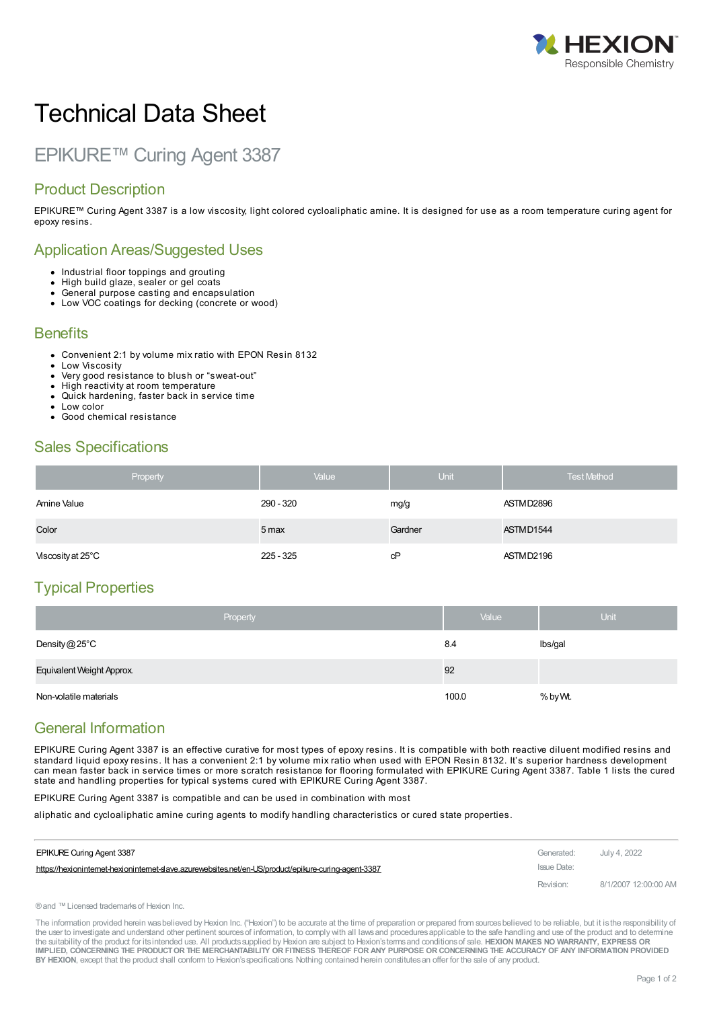

# Technical Data Sheet

## EPIKURE™ Curing Agent 3387

#### Product Description

EPIKURE™ Curing Agent 3387 is a low viscosity, light colored cycloaliphatic amine. It is designed for use as a room temperature curing agent for epoxy resins.

#### Application Areas/Suggested Uses

- Industrial floor toppings and grouting
- High build glaze, sealer or gel coats
- General purpose casting and encapsulation
- Low VOC coatings for decking (concrete or wood)

#### **Benefits**

- Convenient 2:1 by volume mix ratio with EPON Resin 8132
- Low Viscosity
- Very good resistance to blush or "sweat-out" High reactivity at room temperature
- Quick hardening, faster back in service time
- Low color
- Good chemical resistance

#### Sales Specifications

| Property          | Value       | <b>Unit</b> | <b>Test Method</b> |
|-------------------|-------------|-------------|--------------------|
| Amine Value       | 290 - 320   | mg/g        | ASTMD2896          |
| Color             | 5 max       | Gardner     | ASTMD1544          |
| Viscosity at 25°C | $225 - 325$ | cP          | ASTMD2196          |

#### Typical Properties

| Property                  | Value | <b>Unit</b> |
|---------------------------|-------|-------------|
| Density $@25^{\circ}$ C   | 8.4   | Ibs/gal     |
| Equivalent Weight Approx. | 92    |             |
| Non-volatile materials    | 100.0 | % by Wt.    |

#### General Information

EPIKURE Curing Agent 3387 is an effective curative for most types of epoxy resins. It is compatible with both reactive diluent modified resins and standard liquid epoxy resins. It has a convenient 2:1 by volume mix ratio when used with EPON Resin 8132. It's superior hardness development can mean faster back in service times or more scratch resistance for flooring formulated with EPIKURE Curing Agent 3387. Table 1 lists the cured state and handling properties for typical systems cured with EPIKURE Curing Agent 3387.

EPIKURE Curing Agent 3387 is compatible and can be used in combination with most

aliphatic and cycloaliphatic amine curing agents to modify handling characteristics or cured state properties.

| EPIKURE Curing Agent 3387                                                                             | Generated:  | July 4, 2022         |
|-------------------------------------------------------------------------------------------------------|-------------|----------------------|
| https://hexioninternet-hexioninternet-slave.azurewebsites.net/en-US/product/epikure-curing-agent-3387 | Issue Date: |                      |
|                                                                                                       | Revision:   | 8/1/2007 12:00:00 AM |

®and ™Licensed trademarksof Hexion Inc.

The information provided herein was believed by Hexion Inc. ("Hexion") to be accurate at the time of preparation or prepared from sources believed to be reliable, but it is the responsibility of the user to investigate and understand other pertinent sources of information, to comply with all laws and procedures applicable to the safe handling and use of the product and to determine the suitability of the product for itsintended use. All productssupplied by Hexion are subject to Hexion'stermsand conditionsof sale. **HEXION MAKES NO WARRANTY, EXPRESS OR** IMPLIED, CONCERNING THE PRODUCT OR THE MERCHANTABILITY OR FITNESS THEREOF FOR ANY PURPOSE OR CONCERNING THE ACCURACY OF ANY INFORMATION PROVIDED **BY HEXION**, except that the product shall conform to Hexion'sspecifications. Nothing contained herein constitutesan offer for the sale of any product.